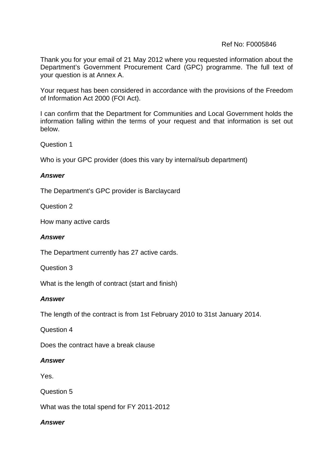# Ref No: F0005846

Thank you for your email of 21 May 2012 where you requested information about the Department's Government Procurement Card (GPC) programme. The full text of your question is at Annex A.

Your request has been considered in accordance with the provisions of the Freedom of Information Act 2000 (FOI Act).

I can confirm that the Department for Communities and Local Government holds the information falling within the terms of your request and that information is set out below.

Question 1

Who is your GPC provider (does this vary by internal/sub department)

## *Answer*

The Department's GPC provider is Barclaycard

Question 2

How many active cards

## *Answer*

The Department currently has 27 active cards.

Question 3

What is the length of contract (start and finish)

## *Answer*

The length of the contract is from 1st February 2010 to 31st January 2014.

Question 4

Does the contract have a break clause

## *Answer*

Yes.

Question 5

What was the total spend for FY 2011-2012

# *Answer*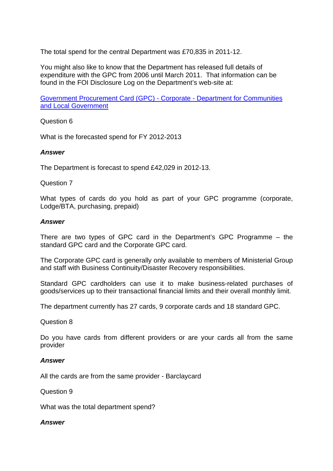The total spend for the central Department was £70,835 in 2011-12.

You might also like to know that the Department has released full details of expenditure with the GPC from 2006 until March 2011. That information can be found in the FOI Disclosure Log on the Department's web-site at:

[Government Procurement Card \(GPC\) - Corporate - Department for Communities](http://www.communities.gov.uk/corporate/foi/disclosure-log/disclosurelog2011/jul2011/gpc20062011)  [and Local Government](http://www.communities.gov.uk/corporate/foi/disclosure-log/disclosurelog2011/jul2011/gpc20062011)

Question 6

What is the forecasted spend for FY 2012-2013

### *Answer*

The Department is forecast to spend £42,029 in 2012-13.

### Question 7

What types of cards do you hold as part of your GPC programme (corporate, Lodge/BTA, purchasing, prepaid)

#### *Answer*

There are two types of GPC card in the Department's GPC Programme – the standard GPC card and the Corporate GPC card.

The Corporate GPC card is generally only available to members of Ministerial Group and staff with Business Continuity/Disaster Recovery responsibilities.

Standard GPC cardholders can use it to make business-related purchases of goods/services up to their transactional financial limits and their overall monthly limit.

The department currently has 27 cards, 9 corporate cards and 18 standard GPC.

#### Question 8

Do you have cards from different providers or are your cards all from the same provider

## *Answer*

All the cards are from the same provider - Barclaycard

Question 9

What was the total department spend?

## *Answer*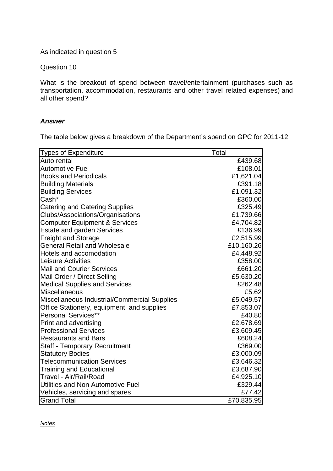As indicated in question 5

Question 10

What is the breakout of spend between travel/entertainment (purchases such as transportation, accommodation, restaurants and other travel related expenses) and all other spend?

## *Answer*

The table below gives a breakdown of the Department's spend on GPC for 2011-12

| Types of Expenditure                         | Total      |
|----------------------------------------------|------------|
| Auto rental                                  | £439.68    |
| <b>Automotive Fuel</b>                       | £108.01    |
| <b>Books and Periodicals</b>                 | £1,621.04  |
| <b>Building Materials</b>                    | £391.18    |
| <b>Building Services</b>                     | £1,091.32  |
| Cash*                                        | £360.00    |
| <b>Catering and Catering Supplies</b>        | £325.49    |
| Clubs/Associations/Organisations             | £1,739.66  |
| <b>Computer Equipment &amp; Services</b>     | £4,704.82  |
| <b>Estate and garden Services</b>            | £136.99    |
| <b>Freight and Storage</b>                   | £2,515.99  |
| <b>General Retail and Wholesale</b>          | £10,160.26 |
| <b>Hotels and accomodation</b>               | £4,448.92  |
| Leisure Activities                           | £358.00    |
| Mail and Courier Services                    | £661.20    |
| Mail Order / Direct Selling                  | £5,630.20  |
| <b>Medical Supplies and Services</b>         | £262.48    |
| Miscellaneous                                | £5.62      |
| Miscellaneous Industrial/Commercial Supplies | £5,049.57  |
| Office Stationery, equipment and supplies    | £7,853.07  |
| Personal Services**                          | £40.80     |
| <b>Print and advertising</b>                 | £2,678.69  |
| <b>Professional Services</b>                 | £3,609.45  |
| <b>Restaurants and Bars</b>                  | £608.24    |
| <b>Staff - Temporary Recruitment</b>         | £369.00    |
| <b>Statutory Bodies</b>                      | £3,000.09  |
| <b>Telecommunication Services</b>            | £3,646.32  |
| <b>Training and Educational</b>              | £3,687.90  |
| Travel - Air/Rail/Road                       | £4,925.10  |
| Utilities and Non Automotive Fuel            | £329.44    |
| Vehicles, servicing and spares               | £77.42     |
| <b>Grand Total</b>                           | £70,835.95 |

*Notes*